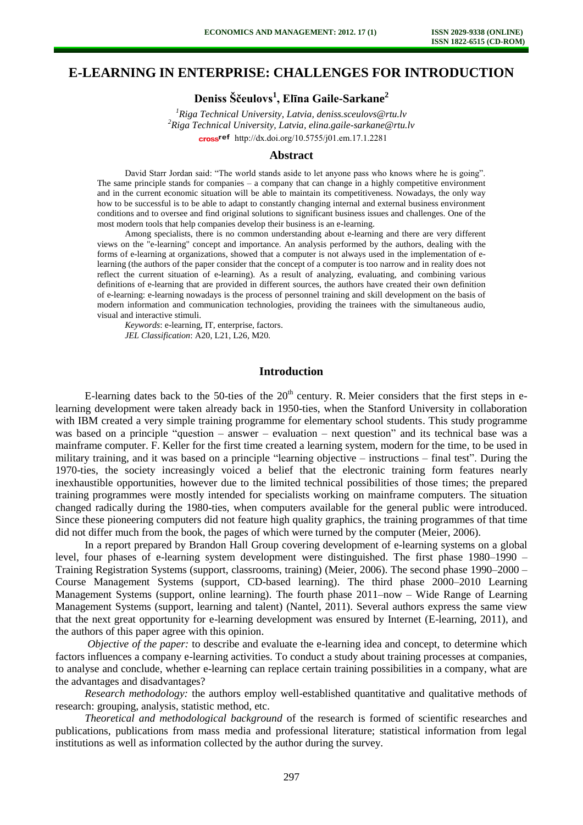# **E-LEARNING IN ENTERPRISE: CHALLENGES FOR INTRODUCTION**

**Deniss Ščeulovs<sup>1</sup> , Elīna Gaile-Sarkane<sup>2</sup>**

*<sup>1</sup>Riga Technical University, Latvia, deniss.sceulovs@rtu.lv <sup>2</sup>Riga Technical University, Latvia, elina.gaile-sarkane@rtu.lv*  cross<sup>ref</sup> [http://dx.doi.org/10.5755/j01.e](http://dx.doi.org/10.5755/j01.em.17.1.2281)m.17.1.2281

#### **Abstract**

David Starr Jordan said: "The world stands aside to let anyone pass who knows where he is going". The same principle stands for companies  $-$  a company that can change in a highly competitive environment and in the current economic situation will be able to maintain its competitiveness. Nowadays, the only way how to be successful is to be able to adapt to constantly changing internal and external business environment conditions and to oversee and find original solutions to significant business issues and challenges. One of the most modern tools that help companies develop their business is an e-learning.

Among specialists, there is no common understanding about e-learning and there are very different views on the "e-learning" concept and importance. An analysis performed by the authors, dealing with the forms of e-learning at organizations, showed that a computer is not always used in the implementation of elearning (the authors of the paper consider that the concept of a computer is too narrow and in reality does not reflect the current situation of e-learning). As a result of analyzing, evaluating, and combining various definitions of e-learning that are provided in different sources, the authors have created their own definition of e-learning: e-learning nowadays is the process of personnel training and skill development on the basis of modern information and communication technologies, providing the trainees with the simultaneous audio, visual and interactive stimuli.

*Keywords*: e-learning, IT, enterprise, factors. *JEL Classification*: A20, L21, L26, M20.

### **Introduction**

E-learning dates back to the 50-ties of the  $20<sup>th</sup>$  century. R. Meier considers that the first steps in elearning development were taken already back in 1950-ties, when the Stanford University in collaboration with IBM created a very simple training programme for elementary school students. This study programme was based on a principle "question – answer – evaluation – next question" and its technical base was a mainframe computer. F. Keller for the first time created a learning system, modern for the time, to be used in military training, and it was based on a principle "learning objective – instructions – final test". During the 1970-ties, the society increasingly voiced a belief that the electronic training form features nearly inexhaustible opportunities, however due to the limited technical possibilities of those times; the prepared training programmes were mostly intended for specialists working on mainframe computers. The situation changed radically during the 1980-ties, when computers available for the general public were introduced. Since these pioneering computers did not feature high quality graphics, the training programmes of that time did not differ much from the book, the pages of which were turned by the computer (Meier, 2006).

In a report prepared by Brandon Hall Group covering development of e-learning systems on a global level, four phases of e-learning system development were distinguished. The first phase 1980–1990 – Training Registration Systems (support, classrooms, training) (Meier, 2006). The second phase 1990–2000 – Course Management Systems (support, CD-based learning). The third phase 2000–2010 Learning Management Systems (support, online learning). The fourth phase 2011–now – Wide Range of Learning Management Systems (support, learning and talent) (Nantel, 2011). Several authors express the same view that the next great opportunity for e-learning development was ensured by Internet (E-learning, 2011), and the authors of this paper agree with this opinion.

*Objective of the paper:* to describe and evaluate the e-learning idea and concept, to determine which factors influences a company e-learning activities. To conduct a study about training processes at companies, to analyse and conclude, whether e-learning can replace certain training possibilities in a company, what are the advantages and disadvantages?

*Research methodology:* the authors employ well-established quantitative and qualitative methods of research: grouping, analysis, statistic method, etc.

*Theoretical and methodological background* of the research is formed of scientific researches and publications, publications from mass media and professional literature; statistical information from legal institutions as well as information collected by the author during the survey.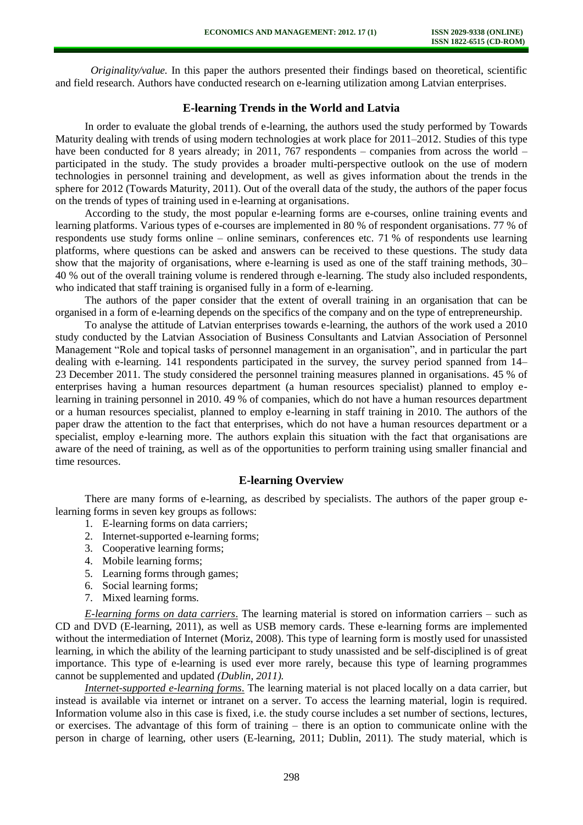*Originality/value.* In this paper the authors presented their findings based on theoretical, scientific and field research. Authors have conducted research on e-learning utilization among Latvian enterprises.

## **E-learning Trends in the World and Latvia**

In order to evaluate the global trends of e-learning, the authors used the study performed by Towards Maturity dealing with trends of using modern technologies at work place for 2011–2012. Studies of this type have been conducted for 8 years already; in 2011, 767 respondents – companies from across the world – participated in the study. The study provides a broader multi-perspective outlook on the use of modern technologies in personnel training and development, as well as gives information about the trends in the sphere for 2012 (Towards Maturity, 2011). Out of the overall data of the study, the authors of the paper focus on the trends of types of training used in e-learning at organisations.

According to the study, the most popular e-learning forms are e-courses, online training events and learning platforms. Various types of e-courses are implemented in 80 % of respondent organisations. 77 % of respondents use study forms online – online seminars, conferences etc. 71 % of respondents use learning platforms, where questions can be asked and answers can be received to these questions. The study data show that the majority of organisations, where e-learning is used as one of the staff training methods, 30– 40 % out of the overall training volume is rendered through e-learning. The study also included respondents, who indicated that staff training is organised fully in a form of e-learning.

The authors of the paper consider that the extent of overall training in an organisation that can be organised in a form of e-learning depends on the specifics of the company and on the type of entrepreneurship.

To analyse the attitude of Latvian enterprises towards e-learning, the authors of the work used a 2010 study conducted by the Latvian Association of Business Consultants and Latvian Association of Personnel Management "Role and topical tasks of personnel management in an organisation", and in particular the part dealing with e-learning. 141 respondents participated in the survey, the survey period spanned from 14– 23 December 2011. The study considered the personnel training measures planned in organisations. 45 % of enterprises having a human resources department (a human resources specialist) planned to employ elearning in training personnel in 2010. 49 % of companies, which do not have a human resources department or a human resources specialist, planned to employ e-learning in staff training in 2010. The authors of the paper draw the attention to the fact that enterprises, which do not have a human resources department or a specialist, employ e-learning more. The authors explain this situation with the fact that organisations are aware of the need of training, as well as of the opportunities to perform training using smaller financial and time resources.

## **E-learning Overview**

There are many forms of e-learning, as described by specialists. The authors of the paper group elearning forms in seven key groups as follows:

- 1. E-learning forms on data carriers;
- 2. Internet-supported e-learning forms;
- 3. Cooperative learning forms;
- 4. Mobile learning forms;
- 5. Learning forms through games;
- 6. Social learning forms;
- 7. Mixed learning forms.

*E-learning forms on data carriers*. The learning material is stored on information carriers – such as CD and DVD (E-learning, 2011), as well as USB memory cards. These e-learning forms are implemented without the intermediation of Internet (Moriz, 2008). This type of learning form is mostly used for unassisted learning, in which the ability of the learning participant to study unassisted and be self-disciplined is of great importance. This type of e-learning is used ever more rarely, because this type of learning programmes cannot be supplemented and updated *(Dublin, 2011).*

*Internet-supported e-learning forms*. The learning material is not placed locally on a data carrier, but instead is available via internet or intranet on a server. To access the learning material, login is required. Information volume also in this case is fixed, i.e. the study course includes a set number of sections, lectures, or exercises. The advantage of this form of training – there is an option to communicate online with the person in charge of learning, other users (E-learning, 2011; Dublin, 2011). The study material, which is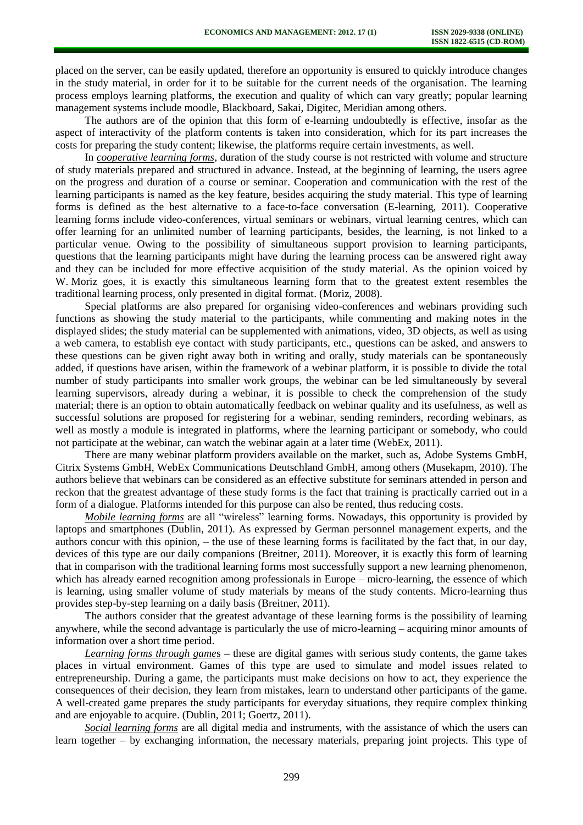placed on the server, can be easily updated, therefore an opportunity is ensured to quickly introduce changes in the study material, in order for it to be suitable for the current needs of the organisation. The learning process employs learning platforms, the execution and quality of which can vary greatly; popular learning management systems include moodle, Blackboard, Sakai, Digitec, Meridian among others.

The authors are of the opinion that this form of e-learning undoubtedly is effective, insofar as the aspect of interactivity of the platform contents is taken into consideration, which for its part increases the costs for preparing the study content; likewise, the platforms require certain investments, as well.

In *cooperative learning forms*, duration of the study course is not restricted with volume and structure of study materials prepared and structured in advance. Instead, at the beginning of learning, the users agree on the progress and duration of a course or seminar. Cooperation and communication with the rest of the learning participants is named as the key feature, besides acquiring the study material. This type of learning forms is defined as the best alternative to a face-to-face conversation (E-learning, 2011). Cooperative learning forms include video-conferences, virtual seminars or webinars, virtual learning centres, which can offer learning for an unlimited number of learning participants, besides, the learning, is not linked to a particular venue. Owing to the possibility of simultaneous support provision to learning participants, questions that the learning participants might have during the learning process can be answered right away and they can be included for more effective acquisition of the study material. As the opinion voiced by W. Moriz goes, it is exactly this simultaneous learning form that to the greatest extent resembles the traditional learning process, only presented in digital format. (Moriz, 2008).

Special platforms are also prepared for organising video-conferences and webinars providing such functions as showing the study material to the participants, while commenting and making notes in the displayed slides; the study material can be supplemented with animations, video, 3D objects, as well as using a web camera, to establish eye contact with study participants, etc., questions can be asked, and answers to these questions can be given right away both in writing and orally, study materials can be spontaneously added, if questions have arisen, within the framework of a webinar platform, it is possible to divide the total number of study participants into smaller work groups, the webinar can be led simultaneously by several learning supervisors, already during a webinar, it is possible to check the comprehension of the study material; there is an option to obtain automatically feedback on webinar quality and its usefulness, as well as successful solutions are proposed for registering for a webinar, sending reminders, recording webinars, as well as mostly a module is integrated in platforms, where the learning participant or somebody, who could not participate at the webinar, can watch the webinar again at a later time (WebEx, 2011).

There are many webinar platform providers available on the market, such as, Adobe Systems GmbH, Citrix Systems GmbH, WebEx Communications Deutschland GmbH, among others (Musekapm, 2010). The authors believe that webinars can be considered as an effective substitute for seminars attended in person and reckon that the greatest advantage of these study forms is the fact that training is practically carried out in a form of a dialogue. Platforms intended for this purpose can also be rented, thus reducing costs.

*Mobile learning forms* are all "wireless" learning forms. Nowadays, this opportunity is provided by laptops and smartphones (Dublin, 2011). As expressed by German personnel management experts, and the authors concur with this opinion, – the use of these learning forms is facilitated by the fact that, in our day, devices of this type are our daily companions (Breitner, 2011). Moreover, it is exactly this form of learning that in comparison with the traditional learning forms most successfully support a new learning phenomenon, which has already earned recognition among professionals in Europe – micro-learning, the essence of which is learning, using smaller volume of study materials by means of the study contents. Micro-learning thus provides step-by-step learning on a daily basis (Breitner, 2011).

The authors consider that the greatest advantage of these learning forms is the possibility of learning anywhere, while the second advantage is particularly the use of micro-learning – acquiring minor amounts of information over a short time period.

*Learning forms through game*s **–** these are digital games with serious study contents, the game takes places in virtual environment. Games of this type are used to simulate and model issues related to entrepreneurship. During a game, the participants must make decisions on how to act, they experience the consequences of their decision, they learn from mistakes, learn to understand other participants of the game. A well-created game prepares the study participants for everyday situations, they require complex thinking and are enjoyable to acquire. (Dublin, 2011; Goertz, 2011).

*Social learning forms* are all digital media and instruments, with the assistance of which the users can learn together – by exchanging information, the necessary materials, preparing joint projects. This type of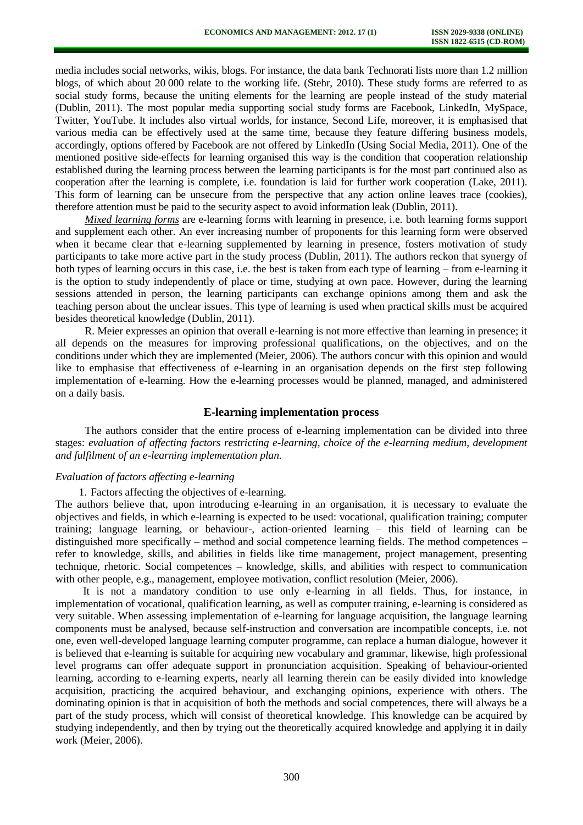media includes social networks, wikis, blogs. For instance, the data bank Technorati lists more than 1.2 million blogs, of which about 20 000 relate to the working life. (Stehr, 2010). These study forms are referred to as social study forms, because the uniting elements for the learning are people instead of the study material (Dublin, 2011). The most popular media supporting social study forms are Facebook, LinkedIn, MySpace, Twitter, YouTube. It includes also virtual worlds, for instance, Second Life, moreover, it is emphasised that various media can be effectively used at the same time, because they feature differing business models, accordingly, options offered by Facebook are not offered by LinkedIn (Using Social Media, 2011). One of the mentioned positive side-effects for learning organised this way is the condition that cooperation relationship established during the learning process between the learning participants is for the most part continued also as cooperation after the learning is complete, i.e. foundation is laid for further work cooperation (Lake, 2011). This form of learning can be unsecure from the perspective that any action online leaves trace (cookies), therefore attention must be paid to the security aspect to avoid information leak (Dublin, 2011).

*Mixed learning forms* are e-learning forms with learning in presence, i.e. both learning forms support and supplement each other. An ever increasing number of proponents for this learning form were observed when it became clear that e-learning supplemented by learning in presence, fosters motivation of study participants to take more active part in the study process (Dublin, 2011). The authors reckon that synergy of both types of learning occurs in this case, i.e. the best is taken from each type of learning – from e-learning it is the option to study independently of place or time, studying at own pace. However, during the learning sessions attended in person, the learning participants can exchange opinions among them and ask the teaching person about the unclear issues. This type of learning is used when practical skills must be acquired besides theoretical knowledge (Dublin, 2011).

R. Meier expresses an opinion that overall e-learning is not more effective than learning in presence; it all depends on the measures for improving professional qualifications, on the objectives, and on the conditions under which they are implemented (Meier, 2006). The authors concur with this opinion and would like to emphasise that effectiveness of e-learning in an organisation depends on the first step following implementation of e-learning. How the e-learning processes would be planned, managed, and administered on a daily basis.

### **E-learning implementation process**

The authors consider that the entire process of e-learning implementation can be divided into three stages: *evaluation of affecting factors restricting e-learning, choice of the e-learning medium, development and fulfilment of an e-learning implementation plan.* 

#### *Evaluation of factors affecting e-learning*

1. Factors affecting the objectives of e-learning.

The authors believe that, upon introducing e-learning in an organisation, it is necessary to evaluate the objectives and fields, in which e-learning is expected to be used: vocational, qualification training; computer training; language learning, or behaviour-, action-oriented learning – this field of learning can be distinguished more specifically – method and social competence learning fields. The method competences – refer to knowledge, skills, and abilities in fields like time management, project management, presenting technique, rhetoric. Social competences – knowledge, skills, and abilities with respect to communication with other people, e.g., management, employee motivation, conflict resolution (Meier, 2006).

It is not a mandatory condition to use only e-learning in all fields. Thus, for instance, in implementation of vocational, qualification learning, as well as computer training, e-learning is considered as very suitable. When assessing implementation of e-learning for language acquisition, the language learning components must be analysed, because self-instruction and conversation are incompatible concepts, i.e. not one, even well-developed language learning computer programme, can replace a human dialogue, however it is believed that e-learning is suitable for acquiring new vocabulary and grammar, likewise, high professional level programs can offer adequate support in pronunciation acquisition. Speaking of behaviour-oriented learning, according to e-learning experts, nearly all learning therein can be easily divided into knowledge acquisition, practicing the acquired behaviour, and exchanging opinions, experience with others. The dominating opinion is that in acquisition of both the methods and social competences, there will always be a part of the study process, which will consist of theoretical knowledge. This knowledge can be acquired by studying independently, and then by trying out the theoretically acquired knowledge and applying it in daily work (Meier, 2006).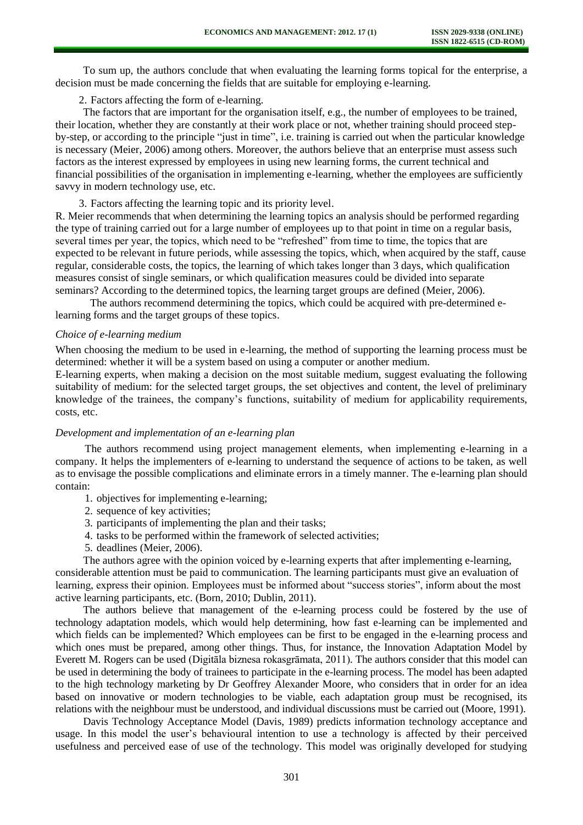To sum up, the authors conclude that when evaluating the learning forms topical for the enterprise, a decision must be made concerning the fields that are suitable for employing e-learning.

2. Factors affecting the form of e-learning.

The factors that are important for the organisation itself, e.g., the number of employees to be trained, their location, whether they are constantly at their work place or not, whether training should proceed stepby-step, or according to the principle "just in time", i.e. training is carried out when the particular knowledge is necessary (Meier, 2006) among others. Moreover, the authors believe that an enterprise must assess such factors as the interest expressed by employees in using new learning forms, the current technical and financial possibilities of the organisation in implementing e-learning, whether the employees are sufficiently savvy in modern technology use, etc.

3. Factors affecting the learning topic and its priority level.

R. Meier recommends that when determining the learning topics an analysis should be performed regarding the type of training carried out for a large number of employees up to that point in time on a regular basis, several times per year, the topics, which need to be "refreshed" from time to time, the topics that are expected to be relevant in future periods, while assessing the topics, which, when acquired by the staff, cause regular, considerable costs, the topics, the learning of which takes longer than 3 days, which qualification measures consist of single seminars, or which qualification measures could be divided into separate seminars? According to the determined topics, the learning target groups are defined (Meier, 2006).

The authors recommend determining the topics, which could be acquired with pre-determined elearning forms and the target groups of these topics.

#### *Choice of e-learning medium*

When choosing the medium to be used in e-learning, the method of supporting the learning process must be determined: whether it will be a system based on using a computer or another medium.

E-learning experts, when making a decision on the most suitable medium, suggest evaluating the following suitability of medium: for the selected target groups, the set objectives and content, the level of preliminary knowledge of the trainees, the company's functions, suitability of medium for applicability requirements, costs, etc.

#### *Development and implementation of an e-learning plan*

The authors recommend using project management elements, when implementing e-learning in a company. It helps the implementers of e-learning to understand the sequence of actions to be taken, as well as to envisage the possible complications and eliminate errors in a timely manner. The e-learning plan should contain:

- 1. objectives for implementing e-learning;
- 2. sequence of key activities;
- 3. participants of implementing the plan and their tasks;
- 4. tasks to be performed within the framework of selected activities;
- 5. deadlines (Meier, 2006).

The authors agree with the opinion voiced by e-learning experts that after implementing e-learning, considerable attention must be paid to communication. The learning participants must give an evaluation of learning, express their opinion. Employees must be informed about "success stories", inform about the most active learning participants, etc. (Born, 2010; Dublin, 2011).

The authors believe that management of the e-learning process could be fostered by the use of technology adaptation models, which would help determining, how fast e-learning can be implemented and which fields can be implemented? Which employees can be first to be engaged in the e-learning process and which ones must be prepared, among other things. Thus, for instance, the Innovation Adaptation Model by Everett M. Rogers can be used (Digitāla biznesa rokasgrāmata, 2011). The authors consider that this model can be used in determining the body of trainees to participate in the e-learning process. The model has been adapted to the high technology marketing by Dr Geoffrey Alexander Moore, who considers that in order for an idea based on innovative or modern technologies to be viable, each adaptation group must be recognised, its relations with the neighbour must be understood, and individual discussions must be carried out (Moore, 1991).

Davis Technology Acceptance Model (Davis, 1989) predicts information technology acceptance and usage. In this model the user's behavioural intention to use a technology is affected by their perceived usefulness and perceived ease of use of the technology. This model was originally developed for studying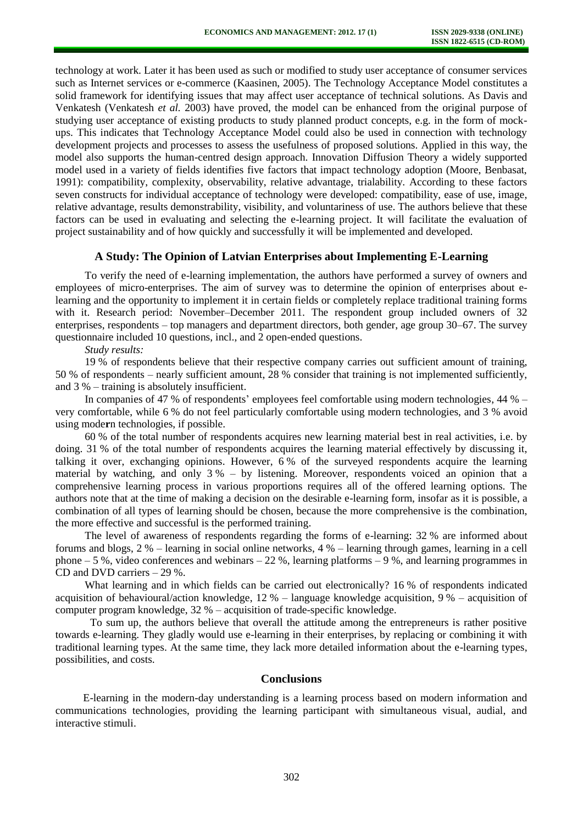technology at work. Later it has been used as such or modified to study user acceptance of consumer services such as Internet services or e-commerce (Kaasinen, 2005). The Technology Acceptance Model constitutes a solid framework for identifying issues that may affect user acceptance of technical solutions. As Davis and Venkatesh (Venkatesh *et al.* 2003) have proved, the model can be enhanced from the original purpose of studying user acceptance of existing products to study planned product concepts, e.g. in the form of mockups. This indicates that Technology Acceptance Model could also be used in connection with technology development projects and processes to assess the usefulness of proposed solutions. Applied in this way, the model also supports the human-centred design approach. Innovation Diffusion Theory a widely supported model used in a variety of fields identifies five factors that impact technology adoption (Moore, Benbasat, 1991): compatibility, complexity, observability, relative advantage, trialability. According to these factors seven constructs for individual acceptance of technology were developed: compatibility, ease of use, image, relative advantage, results demonstrability, visibility, and voluntariness of use. The authors believe that these factors can be used in evaluating and selecting the e-learning project. It will facilitate the evaluation of project sustainability and of how quickly and successfully it will be implemented and developed.

#### **A Study: The Opinion of Latvian Enterprises about Implementing E-Learning**

To verify the need of e-learning implementation, the authors have performed a survey of owners and employees of micro-enterprises. The aim of survey was to determine the opinion of enterprises about elearning and the opportunity to implement it in certain fields or completely replace traditional training forms with it. Research period: November–December 2011. The respondent group included owners of 32 enterprises, respondents – top managers and department directors, both gender, age group 30–67. The survey questionnaire included 10 questions, incl., and 2 open-ended questions.

*Study results:* 

19 % of respondents believe that their respective company carries out sufficient amount of training, 50 % of respondents – nearly sufficient amount, 28 % consider that training is not implemented sufficiently, and 3 % – training is absolutely insufficient.

In companies of 47 % of respondents' employees feel comfortable using modern technologies, 44 % – very comfortable, while 6 % do not feel particularly comfortable using modern technologies, and 3 % avoid using mode**r**n technologies, if possible.

60 % of the total number of respondents acquires new learning material best in real activities, i.e. by doing. 31 % of the total number of respondents acquires the learning material effectively by discussing it, talking it over, exchanging opinions. However, 6 % of the surveyed respondents acquire the learning material by watching, and only 3 % – by listening. Moreover, respondents voiced an opinion that a comprehensive learning process in various proportions requires all of the offered learning options. The authors note that at the time of making a decision on the desirable e-learning form, insofar as it is possible, a combination of all types of learning should be chosen, because the more comprehensive is the combination, the more effective and successful is the performed training.

The level of awareness of respondents regarding the forms of e-learning: 32 % are informed about forums and blogs, 2 % – learning in social online networks, 4 % – learning through games, learning in a cell phone  $-5\%$ , video conferences and webinars  $-22\%$ , learning platforms  $-9\%$ , and learning programmes in CD and DVD carriers – 29 %.

What learning and in which fields can be carried out electronically? 16 % of respondents indicated acquisition of behavioural/action knowledge, 12 % – language knowledge acquisition, 9 % – acquisition of computer program knowledge, 32 % – acquisition of trade-specific knowledge.

To sum up, the authors believe that overall the attitude among the entrepreneurs is rather positive towards e-learning. They gladly would use e-learning in their enterprises, by replacing or combining it with traditional learning types. At the same time, they lack more detailed information about the e-learning types, possibilities, and costs.

#### **Conclusions**

E-learning in the modern-day understanding is a learning process based on modern information and communications technologies, providing the learning participant with simultaneous visual, audial, and interactive stimuli.